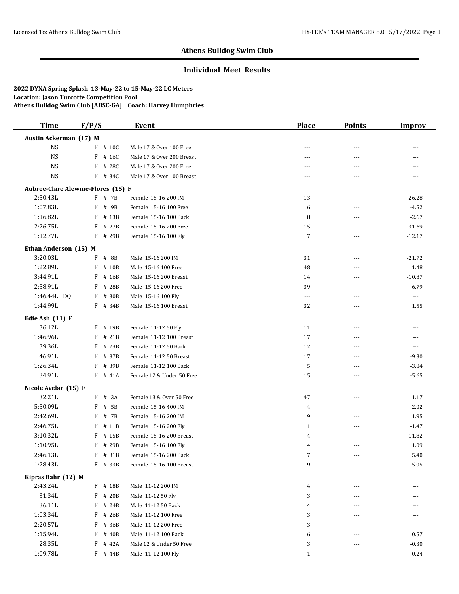## **Individual Meet Results**

| <b>Time</b>                        | F/P/S |           | <b>Event</b>              | <b>Place</b>         | <b>Points</b> | <b>Improv</b> |
|------------------------------------|-------|-----------|---------------------------|----------------------|---------------|---------------|
| Austin Ackerman (17) M             |       |           |                           |                      |               |               |
| <b>NS</b>                          |       | $F$ # 10C | Male 17 & Over 100 Free   | ---                  | ---           | ---           |
| <b>NS</b>                          | F     | # 16C     | Male 17 & Over 200 Breast | $---$                | $---$         | ---           |
| <b>NS</b>                          | F     | # 28C     | Male 17 & Over 200 Free   | ---                  | ---           | ---           |
| <b>NS</b>                          | F     | # 34C     | Male 17 & Over 100 Breast | $---$                | ---           | ---           |
| Aubree-Clare Alewine-Flores (15) F |       |           |                           |                      |               |               |
| 2:50.43L                           |       | $F$ # 7B  | Female 15-16 200 IM       | 13                   | $- - -$       | $-26.28$      |
| 1:07.83L                           | F     | # 9B      | Female 15-16 100 Free     | 16                   | ---           | $-4.52$       |
| 1:16.82L                           | F     | # 13B     | Female 15-16 100 Back     | 8                    | ---           | $-2.67$       |
| 2:26.75L                           | F     | # 27B     | Female 15-16 200 Free     | $15\,$               | ---           | $-31.69$      |
| 1:12.77L                           | F     | # 29B     | Female 15-16 100 Fly      | $\overline{7}$       | ---           | $-12.17$      |
| Ethan Anderson (15) M              |       |           |                           |                      |               |               |
| 3:20.03L                           | F     | # 8B      | Male 15-16 200 IM         | 31                   | $---$         | $-21.72$      |
| 1:22.89L                           | F     | # 10B     | Male 15-16 100 Free       | 48                   | $- - -$       | 1.48          |
| 3:44.91L                           | F     | # 16B     | Male 15-16 200 Breast     | 14                   | ---           | $-10.87$      |
| 2:58.91L                           | F     | # 28B     | Male 15-16 200 Free       | 39                   | ---           | $-6.79$       |
| 1:46.44L DQ                        | F     | # 30B     | Male 15-16 100 Fly        | $\scriptstyle\cdots$ | ---           | $\cdots$      |
| 1:44.99L                           | F     | # 34B     | Male 15-16 100 Breast     | 32                   | ---           | 1.55          |
| Edie Ash (11) F                    |       |           |                           |                      |               |               |
| 36.12L                             | F     | # 19B     | Female 11-12 50 Fly       | 11                   | ---           | ---           |
| 1:46.96L                           | F     | # 21B     | Female 11-12 100 Breast   | 17                   | $- - -$       | ---           |
| 39.36L                             | F     | # 23B     | Female 11-12 50 Back      | 12                   | $---$         | ---           |
| 46.91L                             | F     | # 37B     | Female 11-12 50 Breast    | 17                   | $- - -$       | $-9.30$       |
| 1:26.34L                           | F     | # 39B     | Female 11-12 100 Back     | 5                    | $---$         | $-3.84$       |
| 34.91L                             |       | $F$ # 41A | Female 12 & Under 50 Free | 15                   | $\cdots$      | $-5.65$       |
| Nicole Avelar (15) F               |       |           |                           |                      |               |               |
| 32.21L                             | F     | # 3A      | Female 13 & Over 50 Free  | 47                   | $\cdots$      | 1.17          |
| 5:50.09L                           | F     | # 5B      | Female 15-16 400 IM       | 4                    | $\frac{1}{2}$ | $-2.02$       |
| 2:42.69L                           | F     | # 7B      | Female 15-16 200 IM       | 9                    | $---$         | 1.95          |
| 2:46.75L                           | F     | # 11B     | Female 15-16 200 Fly      | $\mathbf{1}$         | $---$         | $-1.47$       |
| 3:10.32L                           | F     | # 15B     | Female 15-16 200 Breast   | 4                    | ---           | 11.82         |
| 1:10.95L                           | F     | # 29B     | Female 15-16 100 Fly      | 4                    | ---           | 1.09          |
| 2:46.13L                           | F     | # 31B     | Female 15-16 200 Back     | 7                    | ---           | 5.40          |
| 1:28.43L                           |       | F # 33B   | Female 15-16 100 Breast   | 9                    | ---           | 5.05          |
| Kipras Bahr (12) M                 |       |           |                           |                      |               |               |
| 2:43.24L                           | F     | # 18B     | Male 11-12 200 IM         | 4                    | ---           | ---           |
| 31.34L                             | F     | # 20B     | Male 11-12 50 Fly         | 3                    | $---$         | ---           |
| 36.11L                             | F     | # 24B     | Male 11-12 50 Back        | $\overline{4}$       | ---           | ---           |
| 1:03.34L                           | F     | # 26B     | Male 11-12 100 Free       | 3                    | ---           | ---           |
| 2:20.57L                           | F     | # 36B     | Male 11-12 200 Free       | 3                    |               | ---           |
| 1:15.94L                           | F     | # 40B     | Male 11-12 100 Back       | 6                    |               | 0.57          |
| 28.35L                             | F     | # 42A     | Male 12 & Under 50 Free   | 3                    | ---           | $-0.30$       |
| 1:09.78L                           | F     | # 44B     | Male 11-12 100 Fly        | $\mathbf{1}$         |               | 0.24          |
|                                    |       |           |                           |                      |               |               |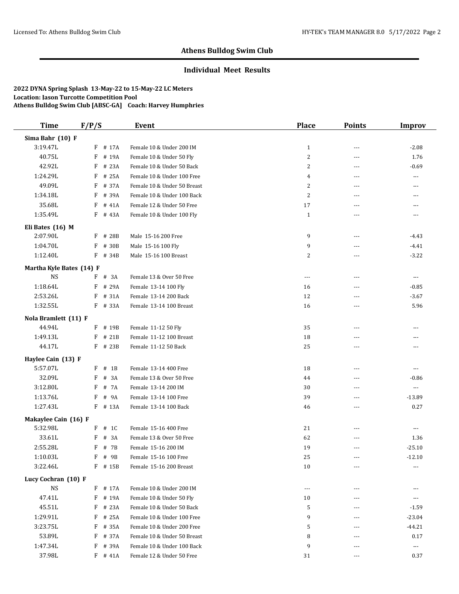## **Individual Meet Results**

| <b>Time</b>              | F/P/S       | Event                       | <b>Place</b>   | <b>Points</b>  | <b>Improv</b>        |
|--------------------------|-------------|-----------------------------|----------------|----------------|----------------------|
| Sima Bahr (10) F         |             |                             |                |                |                      |
| 3:19.47L                 | F # 17A     | Female 10 & Under 200 IM    | $\mathbf{1}$   | $\cdots$       | $-2.08$              |
| 40.75L                   | F<br># 19A  | Female 10 & Under 50 Fly    | $\sqrt{2}$     | ---            | 1.76                 |
| 42.92L                   | F<br># 23A  | Female 10 & Under 50 Back   | $\overline{c}$ | $---$          | $-0.69$              |
| 1:24.29L                 | F<br># 25A  | Female 10 & Under 100 Free  | $\overline{4}$ | ---            | ---                  |
| 49.09L                   | # 37A<br>F  | Female 10 & Under 50 Breast | $\overline{c}$ | $---$          | $---$                |
| 1:34.18L                 | F<br># 39A  | Female 10 & Under 100 Back  | $\overline{2}$ | $---$          | $---$                |
| 35.68L                   | F<br># 41A  | Female 12 & Under 50 Free   | 17             | ---            | $---$                |
| 1:35.49L                 | F # 43A     | Female 10 & Under 100 Fly   | $\mathbf{1}$   | ---            | $---$                |
| Eli Bates (16) M         |             |                             |                |                |                      |
| 2:07.90L                 | F # 28B     | Male 15-16 200 Free         | 9              | $---$          | $-4.43$              |
| 1:04.70L                 | # 30B<br>F  | Male 15-16 100 Fly          | 9              | ---            | $-4.41$              |
| 1:12.40L                 | F # 34B     | Male 15-16 100 Breast       | $\overline{c}$ | $\overline{a}$ | $-3.22$              |
| Martha Kyle Bates (14) F |             |                             |                |                |                      |
| <b>NS</b>                | F # 3A      | Female 13 & Over 50 Free    | ---            | $\cdots$       | $\cdots$             |
| 1:18.64L                 | F<br># 29A  | Female 13-14 100 Fly        | 16             | ---            | $-0.85$              |
| 2:53.26L                 | F<br># 31A  | Female 13-14 200 Back       | 12             | ---            | $-3.67$              |
| 1:32.55L                 | F # 33A     | Female 13-14 100 Breast     | 16             | ---            | 5.96                 |
| Nola Bramlett (11) F     |             |                             |                |                |                      |
| 44.94L                   | F # 19B     | Female 11-12 50 Fly         | 35             | ---            | $---$                |
| 1:49.13L                 | # 21B<br>F  | Female 11-12 100 Breast     | 18             | ---            | ---                  |
| 44.17L                   | F # 23B     | Female 11-12 50 Back        | 25             | $---$          | $---$                |
| Haylee Cain (13) F       |             |                             |                |                |                      |
| 5:57.07L                 | F<br>$#$ 1B | Female 13-14 400 Free       | 18             | ---            | ---                  |
| 32.09L                   | # 3A<br>F   | Female 13 & Over 50 Free    | 44             | ---            | $-0.86$              |
| 3:12.80L                 | F<br># 7A   | Female 13-14 200 IM         | 30             | ---            | $\cdots$             |
| 1:13.76L                 | # 9A<br>F   | Female 13-14 100 Free       | 39             | ---            | $-13.89$             |
| 1:27.43L                 | F # 13A     | Female 13-14 100 Back       | 46             | ---            | 0.27                 |
| Makaylee Cain (16) F     |             |                             |                |                |                      |
| 5:32.98L                 | # 1C<br>F   | Female 15-16 400 Free       | 21             | ---            | ---                  |
| 33.61L                   | # 3A<br>F   | Female 13 & Over 50 Free    | 62             | $\cdots$       | 1.36                 |
| 2:55.28L                 | F<br># 7B   | Female 15-16 200 IM         | 19             | $\cdots$       | $-25.10$             |
| 1:10.03L                 | $F$ # 9B    | Female 15-16 100 Free       | 25             |                | $-12.10$             |
| 3:22.46L                 | $F$ # 15B   | Female 15-16 200 Breast     | 10             | ---            | $\cdots$             |
| Lucy Cochran (10) F      |             |                             |                |                |                      |
| <b>NS</b>                | F # 17A     | Female 10 & Under 200 IM    | ---            | ---            | ---                  |
| 47.41L                   | # 19A<br>F  | Female 10 & Under 50 Fly    | 10             |                | ---                  |
| 45.51L                   | F<br># 23A  | Female 10 & Under 50 Back   | 5              | ---            | $-1.59$              |
| 1:29.91L                 | F<br># 25A  | Female 10 & Under 100 Free  | 9              | ---            | $-23.04$             |
| 3:23.75L                 | F<br># 35A  | Female 10 & Under 200 Free  | 5              |                | $-44.21$             |
| 53.89L                   | # 37A<br>F  | Female 10 & Under 50 Breast | 8              |                | 0.17                 |
| 1:47.34L                 | # 39A<br>F  | Female 10 & Under 100 Back  | 9              |                | $\scriptstyle\cdots$ |
| 37.98L                   | $F$ # 41A   | Female 12 & Under 50 Free   | 31             | ---            | 0.37                 |
|                          |             |                             |                |                |                      |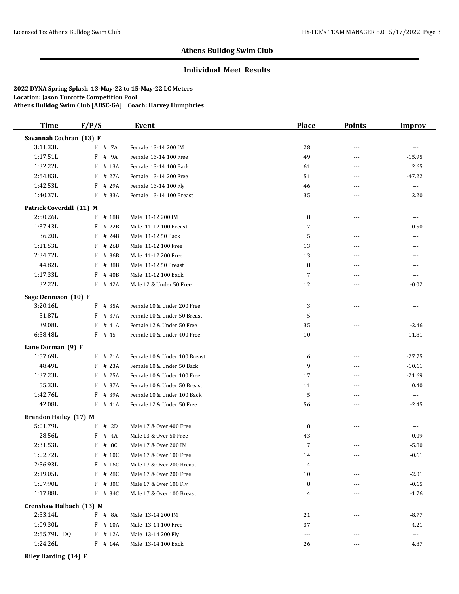## **Individual Meet Results**

#### **2022 DYNA Spring Splash 13-May-22 to 15-May-22 LC Meters Location: Jason Turcotte Competition Pool Athens Bulldog Swim Club [ABSC-GA] Coach: Harvey Humphries**

| <b>Time</b>                  | F/P/S                 | Event                        | <b>Place</b>   | <b>Points</b>  | Improv                   |
|------------------------------|-----------------------|------------------------------|----------------|----------------|--------------------------|
| Savannah Cochran (13) F      |                       |                              |                |                |                          |
| 3:11.33L                     | F # 7A                | Female 13-14 200 IM          | 28             | $\overline{a}$ | $\overline{a}$           |
| 1:17.51L                     | F<br># 9A             | Female 13-14 100 Free        | 49             | ---            | $-15.95$                 |
| 1:32.22L                     | F<br># 13A            | Female 13-14 100 Back        | 61             | ---            | 2.65                     |
| 2:54.83L                     | F<br># 27A            | Female 13-14 200 Free        | 51             | ---            | $-47.22$                 |
| 1:42.53L                     | F<br># 29A            | Female 13-14 100 Fly         | 46             | ---            | $\scriptstyle\cdots$     |
| 1:40.37L                     | F # 33A               | Female 13-14 100 Breast      | 35             | $---$          | 2.20                     |
| Patrick Coverdill (11) M     |                       |                              |                |                |                          |
| 2:50.26L                     | # 18B<br>F            | Male 11-12 200 IM            | 8              | $\overline{a}$ | $\cdots$                 |
| 1:37.43L                     | F<br># 22B            | Male 11-12 100 Breast        | 7              | ---            | $-0.50$                  |
| 36.20L                       | $\, {\bf F}$<br># 24B | Male 11-12 50 Back           | 5              | $---$          | ---                      |
| 1:11.53L                     | F<br># 26B            | Male 11-12 100 Free          | 13             | $- - -$        | ---                      |
| 2:34.72L                     | F<br># 36B            | Male 11-12 200 Free          | 13             | ---            | ---                      |
| 44.82L                       | F<br># 38B            | Male 11-12 50 Breast         | 8              | ---            | ---                      |
| 1:17.33L                     | F<br># 40B            | Male 11-12 100 Back          | 7              | ---            | $---$                    |
| 32.22L                       | F<br># 42A            | Male 12 & Under 50 Free      | 12             | $\overline{a}$ | $-0.02$                  |
| Sage Dennison (10) F         |                       |                              |                |                |                          |
| 3:20.16L                     | F<br># 35A            | Female 10 & Under 200 Free   | 3              | $- - -$        | $---$                    |
| 51.87L                       | F<br># 37A            | Female 10 & Under 50 Breast  | 5              | ---            | ---                      |
| 39.08L                       | F<br># 41A            | Female 12 & Under 50 Free    | 35             | $- - -$        | $-2.46$                  |
| 6:58.48L                     | $F$ # 45              | Female 10 & Under 400 Free   | 10             | ---            | $-11.81$                 |
| Lane Dorman (9) F            |                       |                              |                |                |                          |
| 1:57.69L                     | # 21A<br>F            | Female 10 & Under 100 Breast | 6              | ---            | $-27.75$                 |
| 48.49L                       | # 23A<br>F            | Female 10 & Under 50 Back    | 9              | ---            | $-10.61$                 |
| 1:37.23L                     | F<br># 25A            | Female 10 & Under 100 Free   | 17             | $- - -$        | $-21.69$                 |
| 55.33L                       | F<br># 37A            | Female 10 & Under 50 Breast  | 11             | ---            | 0.40                     |
| 1:42.76L                     | F<br># 39A            | Female 10 & Under 100 Back   | 5              | $- - -$        | $\cdots$                 |
| 42.08L                       | F<br># 41A            | Female 12 & Under 50 Free    | 56             | ---            | $-2.45$                  |
| <b>Brandon Hailey (17) M</b> |                       |                              |                |                |                          |
| 5:01.79L                     | # 2D<br>F             | Male 17 & Over 400 Free      | 8              | ---            | $\cdots$                 |
| 28.56L                       | F<br># 4A             | Male 13 & Over 50 Free       | 43             | ---            | 0.09                     |
| 2:31.53L                     | F<br># 8C             | Male 17 & Over 200 IM        | $\overline{7}$ | $- - -$        | $-5.80$                  |
| 1:02.72L                     | F<br># 10C            | Male 17 & Over 100 Free      | 14             | $\overline{a}$ | $-0.61$                  |
| 2:56.93L                     | F # 16C               | Male 17 & Over 200 Breast    | 4              | $---$          | $\cdots$                 |
| 2:19.05L                     | F # 28C               | Male 17 & Over 200 Free      | 10             |                | $-2.01$                  |
| 1:07.90L                     | $F$ # 30C             | Male 17 & Over 100 Fly       | 8              |                | $-0.65$                  |
| 1:17.88L                     | $F$ # 34C             | Male 17 & Over 100 Breast    | 4              | ---            | $-1.76$                  |
| Crenshaw Halbach (13) M      |                       |                              |                |                |                          |
| 2:53.14L                     | $F$ # 8A              | Male 13-14 200 IM            | 21             | ---            | $-8.77$                  |
| 1:09.30L                     | $F$ # 10A             | Male 13-14 100 Free          | 37             |                | $-4.21$                  |
| 2:55.79L DQ                  | $F$ # 12A             | Male 13-14 200 Fly           | $---$          | ---            | $\hspace{0.05cm} \ldots$ |
| 1:24.26L                     | F # 14A               | Male 13-14 100 Back          | 26             | $---$          | 4.87                     |
|                              |                       |                              |                |                |                          |

**Riley Harding (14) F**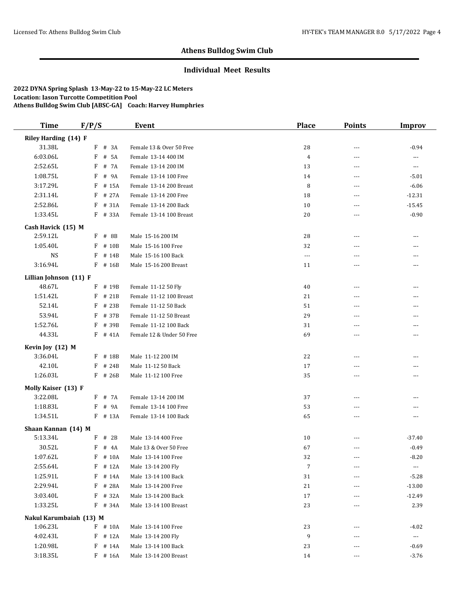## **Individual Meet Results**

| <b>Time</b>             | F/P/S      | Event                            | <b>Place</b>   | <b>Points</b> | <b>Improv</b>            |
|-------------------------|------------|----------------------------------|----------------|---------------|--------------------------|
| Riley Harding (14) F    |            |                                  |                |               |                          |
| 31.38L                  | F<br># 3A  | Female 13 & Over 50 Free         | 28             | ---           | $-0.94$                  |
| 6:03.06L                | F          | # 5A<br>Female 13-14 400 IM      | $\overline{4}$ | ---           | $\scriptstyle\cdots$     |
| 2:52.65L                | F          | # 7A<br>Female 13-14 200 IM      | 13             | $---$         | $\cdots$                 |
| 1:08.75L                | # 9A<br>F  | Female 13-14 100 Free            | 14             | ---           | $-5.01$                  |
| 3:17.29L                | F          | # 15A<br>Female 13-14 200 Breast | 8              | $---$         | $-6.06$                  |
| 2:31.14L                | # 27A<br>F | Female 13-14 200 Free            | 18             | ---           | $-12.31$                 |
| 2:52.86L                | F          | # 31A<br>Female 13-14 200 Back   | 10             | $\cdots$      | $-15.45$                 |
| 1:33.45L                | F # 33A    | Female 13-14 100 Breast          | 20             | ---           | $-0.90$                  |
| Cash Havick (15) M      |            |                                  |                |               |                          |
| 2:59.12L                | F # 8B     | Male 15-16 200 IM                | 28             | $---$         | $\cdots$                 |
| 1:05.40L                | F          | # 10B<br>Male 15-16 100 Free     | 32             | ---           | $\cdots$                 |
| <b>NS</b>               | F          | # 14B<br>Male 15-16 100 Back     | $\ldots$       | ---           | $---$                    |
| 3:16.94L                | $F$ # 16B  | Male 15-16 200 Breast            | 11             | ---           | ---                      |
| Lillian Johnson (11) F  |            |                                  |                |               |                          |
| 48.67L                  | F # 19B    | Female 11-12 50 Fly              | 40             | ---           | ---                      |
| 1:51.42L                | F          | # 21B<br>Female 11-12 100 Breast | 21             | ---           | ---                      |
| 52.14L                  | F          | # 23B<br>Female 11-12 50 Back    | 51             | ---           | ---                      |
| 53.94L                  | F          | # 37B<br>Female 11-12 50 Breast  | 29             | ---           | ---                      |
| 1:52.76L                | F          | # 39B<br>Female 11-12 100 Back   | 31             | $---$         | $---$                    |
| 44.33L                  | $F$ # 41A  | Female 12 & Under 50 Free        | 69             | ---           | ---                      |
| Kevin Joy (12) M        |            |                                  |                |               |                          |
| 3:36.04L                | F          | # 18B<br>Male 11-12 200 IM       | 22             | ---           | ---                      |
| 42.10L                  | F          | # 24B<br>Male 11-12 50 Back      | 17             | ---           | ---                      |
| 1:26.03L                | $F$ # 26B  | Male 11-12 100 Free              | 35             | ---           | ---                      |
| Molly Kaiser (13) F     |            |                                  |                |               |                          |
| 3:22.08L                | F # 7A     | Female 13-14 200 IM              | 37             | ---           | ---                      |
| 1:18.83L                | F          | # 9A<br>Female 13-14 100 Free    | 53             | ---           | ---                      |
| 1:34.51L                | F # 13A    | Female 13-14 100 Back            | 65             | ---           | $\cdots$                 |
| Shaan Kannan (14) M     |            |                                  |                |               |                          |
| 5:13.34L                | F<br># 2B  | Male 13-14 400 Free              | 10             | ---           | $-37.40$                 |
| 30.52L                  | $F$ # 4A   | Male 13 & Over 50 Free           | 67             | ---           | $-0.49$                  |
| 1:07.62L                | $F$ # 10A  | Male 13-14 100 Free              | 32             |               | $-8.20$                  |
| 2:55.64L                | $F$ # 12A  | Male 13-14 200 Fly               | $\overline{7}$ |               | ---                      |
| 1:25.91L                | $F$ # 14A  | Male 13-14 100 Back              | 31             |               | $-5.28$                  |
| 2:29.94L                | $F$ # 28A  | Male 13-14 200 Free              | 21             | ---           | $-13.00$                 |
| 3:03.40L                | F          | # 32A<br>Male 13-14 200 Back     | 17             |               | $-12.49$                 |
| 1:33.25L                | F # 34A    | Male 13-14 100 Breast            | 23             | ---           | 2.39                     |
| Nakul Karumbaiah (13) M |            |                                  |                |               |                          |
| 1:06.23L                | $F$ # 10A  | Male 13-14 100 Free              | 23             |               | $-4.02$                  |
| 4:02.43L                | F          | # 12A<br>Male 13-14 200 Fly      | 9              |               | $\hspace{0.05cm} \ldots$ |
| 1:20.98L                | F          | # 14A<br>Male 13-14 100 Back     | 23             |               | $-0.69$                  |
| 3:18.35L                | $F$ # 16A  | Male 13-14 200 Breast            | 14             | ---           | $-3.76$                  |
|                         |            |                                  |                |               |                          |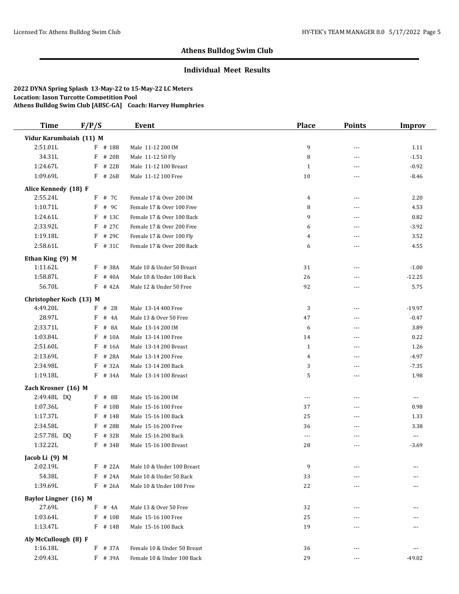## **Individual Meet Results**

| <b>Time</b>             | F/P/S      | <b>Event</b>                | <b>Place</b> | <b>Points</b>            | <b>Improv</b> |
|-------------------------|------------|-----------------------------|--------------|--------------------------|---------------|
| Vidur Karumbaiah (11) M |            |                             |              |                          |               |
| 2:51.01L                | F # 18B    | Male 11-12 200 IM           | 9            | ---                      | 1.11          |
| 34.31L                  | F<br># 20B | Male 11-12 50 Fly           | 8            | $\overline{a}$           | $-1.51$       |
| 1:24.67L                | # 22B<br>F | Male 11-12 100 Breast       | $\mathbf{1}$ | $\overline{a}$           | $-0.92$       |
| 1:09.69L                | F<br># 26B | Male 11-12 100 Free         | 10           | ---                      | $-8.46$       |
| Alice Kennedy (18) F    |            |                             |              |                          |               |
| 2:55.24L                | F<br># 7C  | Female 17 & Over 200 IM     | 4            | $---$                    | 2.20          |
| 1:10.71L                | F<br># 9C  | Female 17 & Over 100 Free   | 8            | $---$                    | 4.53          |
| 1:24.61L                | F<br># 13C | Female 17 & Over 100 Back   | 9            | $\overline{a}$           | 0.82          |
| 2:33.92L                | F<br># 27C | Female 17 & Over 200 Free   | 6            | $---$                    | $-3.92$       |
| 1:19.18L                | F<br># 29C | Female 17 & Over 100 Fly    | 4            | $\overline{a}$           | 3.52          |
| 2:58.61L                | F # 31C    | Female 17 & Over 200 Back   | 6            | ---                      | 4.55          |
| Ethan King (9) M        |            |                             |              |                          |               |
| 1:11.62L                | # 38A<br>F | Male 10 & Under 50 Breast   | 31           | $---$                    | $-1.00$       |
| 1:58.87L                | F<br># 40A | Male 10 & Under 100 Back    | 26           | $\overline{a}$           | $-12.25$      |
| 56.70L                  | F<br># 42A | Male 12 & Under 50 Free     | 92           | ---                      | 5.75          |
| Christopher Koch (13) M |            |                             |              |                          |               |
| 4:49.20L                | $F$ # 2B   | Male 13-14 400 Free         | 3            | ---                      | $-19.97$      |
| 28.97L                  | F<br># 4A  | Male 13 & Over 50 Free      | 47           | $\overline{a}$           | $-0.47$       |
| 2:33.71L                | # 8A<br>F  | Male 13-14 200 IM           | 6            | ---                      | 3.89          |
| 1:03.84L                | F<br># 10A | Male 13-14 100 Free         | 14           | ---                      | 0.22          |
| 2:51.60L                | # 16A<br>F | Male 13-14 200 Breast       | $\mathbf{1}$ | $\overline{a}$           | 1.26          |
| 2:13.69L                | # 28A<br>F | Male 13-14 200 Free         | 4            | ---                      | $-4.97$       |
| 2:34.98L                | F<br># 32A | Male 13-14 200 Back         | 3            | $---$                    | $-7.35$       |
| 1:19.18L                | F<br># 34A | Male 13-14 100 Breast       | 5            | $\overline{a}$           | 1.98          |
| Zach Krosner (16) M     |            |                             |              |                          |               |
| 2:49.48L DQ             | F # 8B     | Male 15-16 200 IM           | $---$        | ---                      | ---           |
| 1:07.36L                | # 10B<br>F | Male 15-16 100 Free         | 37           | $- - -$                  | 0.98          |
| 1:17.37L                | F<br># 14B | Male 15-16 100 Back         | 25           | $\overline{a}$           | 1.33          |
| 2:34.58L                | F<br># 28B | Male 15-16 200 Free         | 36           | ---                      | 3.38          |
| 2:57.78L DQ             | # 32B<br>F | Male 15-16 200 Back         | $---$        | ---                      | ---           |
| 1:32.22L                | # 34B<br>F | Male 15-16 100 Breast       | 28           | ---                      | $-3.69$       |
| Jacob Li (9) M          |            |                             |              |                          |               |
| 2:02.19L                | F # 22A    | Male 10 & Under 100 Breast  | 9            |                          |               |
| 54.38L                  | F<br># 24A | Male 10 & Under 50 Back     | 33           | ---                      |               |
| 1:39.69L                | F<br># 26A | Male 10 & Under 100 Free    | 22           | ---                      |               |
| Baylor Lingner (16) M   |            |                             |              |                          |               |
| 27.69L                  | F<br># 4A  | Male 13 & Over 50 Free      | 32           | ---                      | ---           |
| 1:03.64L                | F<br># 10B | Male 15-16 100 Free         | 25           |                          |               |
| 1:13.47L                | F<br># 14B | Male 15-16 100 Back         | 19           |                          | ---           |
| Aly McCullough (8) F    |            |                             |              |                          |               |
| 1:16.18L                | F<br># 37A | Female 10 & Under 50 Breast | 36           | $\overline{\phantom{a}}$ | $---$         |
| 2:09.43L                | F # 39A    | Female 10 & Under 100 Back  | 29           | $---$                    | $-49.02$      |
|                         |            |                             |              |                          |               |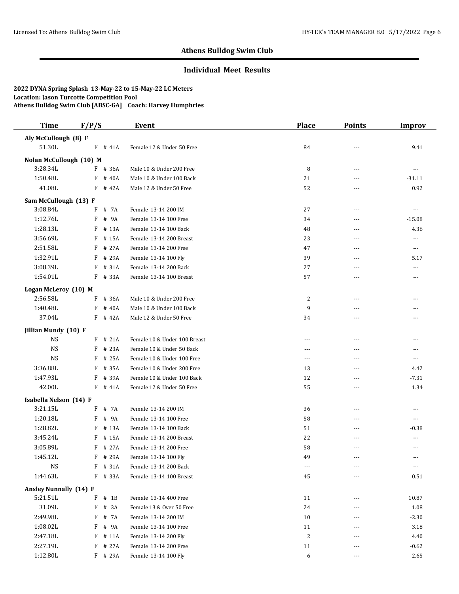## **Individual Meet Results**

| <b>Time</b>                      | F/P/S |           | <b>Event</b>                 | <b>Place</b>        | <b>Points</b> | <b>Improv</b>  |
|----------------------------------|-------|-----------|------------------------------|---------------------|---------------|----------------|
| Aly McCullough (8) F             |       |           |                              |                     |               |                |
| 51.30L                           |       | $F$ # 41A | Female 12 & Under 50 Free    | 84                  |               | 9.41           |
| Nolan McCullough (10) M          |       |           |                              |                     |               |                |
| 3:28.34L                         |       | F # 36A   | Male 10 & Under 200 Free     | 8                   | ---           | ---            |
| 1:50.48L                         | F     | # 40A     | Male 10 & Under 100 Back     | 21                  | ---           | $-31.11$       |
| 41.08L                           | F     | # 42A     | Male 12 & Under 50 Free      | 52                  | ---           | 0.92           |
| Sam McCullough (13) F            |       |           |                              |                     |               |                |
| 3:08.84L                         | F     | # 7A      | Female 13-14 200 IM          | 27                  | ---           | $\cdots$       |
| 1:12.76L                         | F     | # 9A      | Female 13-14 100 Free        | 34                  | ---           | $-15.08$       |
| 1:28.13L                         | F     | # 13A     | Female 13-14 100 Back        | 48                  | ---           | 4.36           |
| 3:56.69L                         | F     | # 15A     | Female 13-14 200 Breast      | 23                  | ---           | ---            |
| 2:51.58L                         | F     | # 27A     | Female 13-14 200 Free        | 47                  | ---           | ---            |
| 1:32.91L                         | F     | # 29A     | Female 13-14 100 Fly         | 39                  | $- - -$       | 5.17           |
| 3:08.39L                         | F     | # 31A     | Female 13-14 200 Back        | 27                  | ---           | ---            |
| 1:54.01L                         | F     | # 33A     | Female 13-14 100 Breast      | 57                  | $---$         | $---$          |
|                                  |       |           |                              |                     |               |                |
| Logan McLeroy (10) M<br>2:56.58L | F     | # 36A     | Male 10 & Under 200 Free     |                     |               |                |
| 1:40.48L                         | F     | # 40A     | Male 10 & Under 100 Back     | $\overline{c}$<br>9 | ---           | ---            |
| 37.04L                           |       | $F$ # 42A | Male 12 & Under 50 Free      |                     | ---           | ---<br>---     |
|                                  |       |           |                              | 34                  | ---           |                |
| Jillian Mundy (10) F             |       |           |                              |                     |               |                |
| <b>NS</b>                        | F     | # 21A     | Female 10 & Under 100 Breast | ---                 | ---           | $\cdots$       |
| <b>NS</b>                        | F     | # 23A     | Female 10 & Under 50 Back    | $\frac{1}{2}$       | $---$         | $\cdots$       |
| <b>NS</b>                        | F     | # 25A     | Female 10 & Under 100 Free   | $\cdots$            | ---           | ---            |
| 3:36.88L                         | F     | # 35A     | Female 10 & Under 200 Free   | 13                  | ---           | 4.42           |
| 1:47.93L                         | F     | # 39A     | Female 10 & Under 100 Back   | 12                  | ---           | $-7.31$        |
| 42.00L                           | F     | # 41A     | Female 12 & Under 50 Free    | 55                  | ---           | 1.34           |
| Isabella Nelson (14) F           |       |           |                              |                     |               |                |
| 3:21.15L                         | F     | # 7A      | Female 13-14 200 IM          | 36                  | ---           | $\cdots$       |
| 1:20.18L                         | F     | # 9A      | Female 13-14 100 Free        | 58                  | $---$         | $\overline{a}$ |
| 1:28.82L                         | F     | # 13A     | Female 13-14 100 Back        | 51                  | ---           | $-0.38$        |
| 3:45.24L                         | F     | # 15A     | Female 13-14 200 Breast      | 22                  | ---           | $---$          |
| 3:05.89L                         | F     | # 27A     | Female 13-14 200 Free        | 58                  | ---           | $\cdots$       |
| 1:45.12L                         |       | F # 29A   | Female 13-14 100 Fly         | 49                  |               |                |
| <b>NS</b>                        |       | F # 31A   | Female 13-14 200 Back        | $\cdots$            | ---           | ---            |
| 1:44.63L                         |       | F # 33A   | Female 13-14 100 Breast      | 45                  |               | 0.51           |
| <b>Ansley Nunnally (14) F</b>    |       |           |                              |                     |               |                |
| 5:21.51L                         | F     | $#$ 1B    | Female 13-14 400 Free        | 11                  | ---           | 10.87          |
| 31.09L                           | F     | # 3A      | Female 13 & Over 50 Free     | 24                  |               | 1.08           |
| 2:49.98L                         | F     | # 7A      | Female 13-14 200 IM          | 10                  |               | $-2.30$        |
| 1:08.02L                         | F     | # 9A      | Female 13-14 100 Free        | 11                  |               | 3.18           |
| 2:47.18L                         | F     | # 11A     | Female 13-14 200 Fly         | $\sqrt{2}$          |               | 4.40           |
| 2:27.19L                         | F     | # 27A     | Female 13-14 200 Free        | 11                  |               | $-0.62$        |
| 1:12.80L                         |       | F # 29A   | Female 13-14 100 Fly         | 6                   | ---           | 2.65           |
|                                  |       |           |                              |                     |               |                |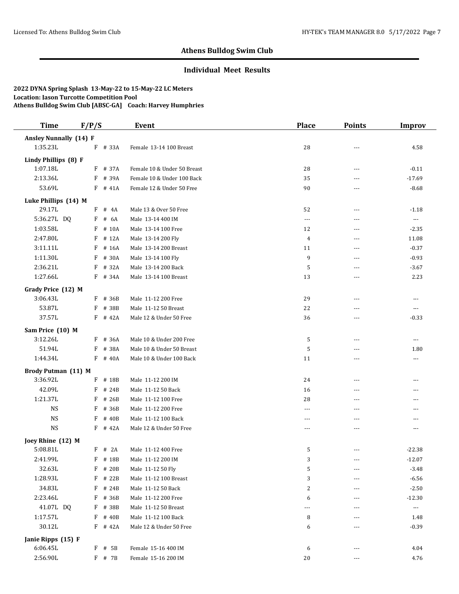## **Individual Meet Results**

| <b>Time</b>                   | F/P/S |           | <b>Event</b>                | <b>Place</b>   | <b>Points</b>  | <b>Improv</b>  |
|-------------------------------|-------|-----------|-----------------------------|----------------|----------------|----------------|
| <b>Ansley Nunnally (14) F</b> |       |           |                             |                |                |                |
| 1:35.23L                      | F     | # 33A     | Female 13-14 100 Breast     | 28             | ---            | 4.58           |
| Lindy Phillips (8) F          |       |           |                             |                |                |                |
| 1:07.18L                      |       | F # 37A   | Female 10 & Under 50 Breast | 28             | $---$          | $-0.11$        |
| 2:13.36L                      | F     | # 39A     | Female 10 & Under 100 Back  | 35             | $\sim$ $\sim$  | $-17.69$       |
| 53.69L                        |       | $F$ # 41A | Female 12 & Under 50 Free   | 90             | $\overline{a}$ | $-8.68$        |
| Luke Phillips (14) M          |       |           |                             |                |                |                |
| 29.17L                        |       | $F$ # 4A  | Male 13 & Over 50 Free      | 52             | $\overline{a}$ | $-1.18$        |
| 5:36.27L DQ                   | F     | # 6A      | Male 13-14 400 IM           | $---$          | $\overline{a}$ | $\ldots$       |
| 1:03.58L                      | F     | # 10A     | Male 13-14 100 Free         | 12             | $- - -$        | $-2.35$        |
| 2:47.80L                      | F     | # 12A     | Male 13-14 200 Fly          | $\overline{4}$ | $\sim$ $\sim$  | 11.08          |
| 3:11.11L                      | F     | # 16A     | Male 13-14 200 Breast       | 11             | ---            | $-0.37$        |
| 1:11.30L                      | F     | # 30A     | Male 13-14 100 Fly          | 9              | $- - -$        | $-0.93$        |
| 2:36.21L                      | F     | # 32A     | Male 13-14 200 Back         | 5              | ---            | $-3.67$        |
| 1:27.66L                      | F     | # 34A     | Male 13-14 100 Breast       | 13             | $- - -$        | 2.23           |
|                               |       |           |                             |                |                |                |
| Grady Price (12) M            |       |           |                             |                |                |                |
| 3:06.43L                      | F     | # 36B     | Male 11-12 200 Free         | 29             | ---            | $\cdots$       |
| 53.87L                        | F     | # 38B     | Male 11-12 50 Breast        | 22             | ---            | $---$          |
| 37.57L                        | F     | # 42A     | Male 12 & Under 50 Free     | 36             | ---            | $-0.33$        |
| Sam Price (10) M              |       |           |                             |                |                |                |
| 3:12.26L                      | F     | # 36A     | Male 10 & Under 200 Free    | 5              | ---            | ---            |
| 51.94L                        | F     | # 38A     | Male 10 & Under 50 Breast   | 5              | $\overline{a}$ | 1.80           |
| 1:44.34L                      | F     | # 40A     | Male 10 & Under 100 Back    | 11             | ---            | $\cdots$       |
| Brody Putman (11) M           |       |           |                             |                |                |                |
| 3:36.92L                      | F     | # 18B     | Male 11-12 200 IM           | 24             | ---            | ---            |
| 42.09L                        | F     | # 24B     | Male 11-12 50 Back          | 16             | ---            | ---            |
| 1:21.37L                      | F     | # 26B     | Male 11-12 100 Free         | 28             | $\overline{a}$ | ---            |
| <b>NS</b>                     | F     | # 36B     | Male 11-12 200 Free         | $- - -$        | $- - -$        | ---            |
| <b>NS</b>                     | F     | # 40B     | Male 11-12 100 Back         | $- - -$        | $---$          | $\overline{a}$ |
| <b>NS</b>                     | F     | # 42A     | Male 12 & Under 50 Free     | $---$          | $-$            | ---            |
| Joey Rhine (12) M             |       |           |                             |                |                |                |
| 5:08.81L                      | F     | # 2A      | Male 11-12 400 Free         | 5              | $---$          | $-22.38$       |
| 2:41.99L                      |       | $F$ # 18B | Male 11-12 200 IM           | 3              | ---            | $-12.07$       |
| 32.63L                        | F     | # 20B     | Male 11-12 50 Fly           | 5              | $---$          | $-3.48$        |
| 1:28.93L                      | F     | # 22B     | Male 11-12 100 Breast       | 3              |                | $-6.56$        |
| 34.83L                        | F     | # 24B     | Male 11-12 50 Back          | 2              | ---            | $-2.50$        |
| 2:23.46L                      | F     | # 36B     | Male 11-12 200 Free         | 6              | ---            | $-12.30$       |
| 41.07L DQ                     | F     | # 38B     | Male 11-12 50 Breast        | $\cdots$       |                | $\cdots$       |
| 1:17.57L                      | F     | # 40B     | Male 11-12 100 Back         | 8              |                | 1.48           |
| 30.12L                        |       | $F$ # 42A | Male 12 & Under 50 Free     | 6              |                | $-0.39$        |
|                               |       |           |                             |                |                |                |
| Janie Ripps (15) F            |       |           |                             |                |                |                |
| 6:06.45L                      | F     | # 5B      | Female 15-16 400 IM         | 6              | ---            | 4.04           |
| 2:56.90L                      |       | F # 7B    | Female 15-16 200 IM         | $20\,$         | ---            | 4.76           |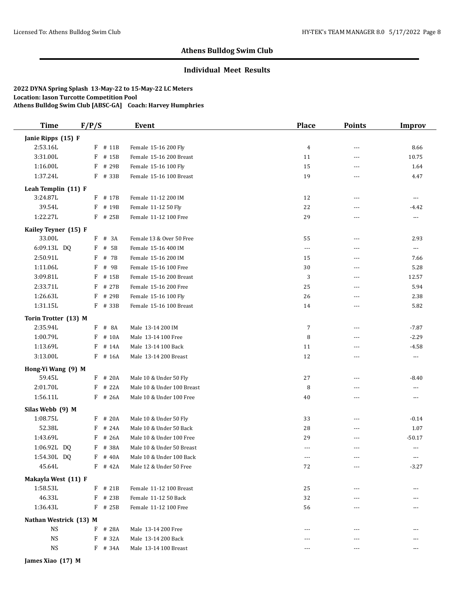## **Individual Meet Results**

| <b>Time</b>            | F/P/S      | Event                      | <b>Place</b>   | <b>Points</b>  | <b>Improv</b> |
|------------------------|------------|----------------------------|----------------|----------------|---------------|
| Janie Ripps (15) F     |            |                            |                |                |               |
| 2:53.16L               | F # 11B    | Female 15-16 200 Fly       | 4              | $\overline{a}$ | 8.66          |
| 3:31.00L               | F<br># 15B | Female 15-16 200 Breast    | 11             | $- - -$        | 10.75         |
| 1:16.00L               | F<br># 29B | Female 15-16 100 Fly       | 15             | $\overline{a}$ | 1.64          |
| 1:37.24L               | F # 33B    | Female 15-16 100 Breast    | 19             | $\overline{a}$ | 4.47          |
| Leah Templin (11) F    |            |                            |                |                |               |
| 3:24.87L               | F # 17B    | Female 11-12 200 IM        | 12             | ---            | $\cdots$      |
| 39.54L                 | F<br># 19B | Female 11-12 50 Fly        | 22             | $- - -$        | $-4.42$       |
| 1:22.27L               | F # 25B    | Female 11-12 100 Free      | 29             | $\overline{a}$ | ---           |
| Kailey Teyner (15) F   |            |                            |                |                |               |
| 33.00L                 | # 3A<br>F  | Female 13 & Over 50 Free   | 55             | ---            | 2.93          |
| 6:09.13L DQ            | # 5B<br>F  | Female 15-16 400 IM        | $\cdots$       | $\overline{a}$ | $\cdots$      |
| 2:50.91L               | # 7B<br>F  | Female 15-16 200 IM        | 15             | $\overline{a}$ | 7.66          |
| 1:11.06L               | # 9B<br>F  | Female 15-16 100 Free      | 30             | $\overline{a}$ | 5.28          |
| 3:09.81L               | F<br># 15B | Female 15-16 200 Breast    | 3              | $\overline{a}$ | 12.57         |
| 2:33.71L               | F<br># 27B | Female 15-16 200 Free      | 25             | ---            | 5.94          |
| 1:26.63L               | F<br># 29B | Female 15-16 100 Fly       | 26             | ---            | 2.38          |
| 1:31.15L               | F # 33B    | Female 15-16 100 Breast    | 14             | ---            | 5.82          |
| Torin Trotter (13) M   |            |                            |                |                |               |
| 2:35.94L               | $F$ # 8A   | Male 13-14 200 IM          | 7              | $\overline{a}$ | $-7.87$       |
| 1:00.79L               | F<br># 10A | Male 13-14 100 Free        | 8              | ---            | $-2.29$       |
| 1:13.69L               | F<br># 14A | Male 13-14 100 Back        | 11             | ---            | $-4.58$       |
| 3:13.00L               | F<br># 16A | Male 13-14 200 Breast      | 12             | ---            | ---           |
| Hong-Yi Wang (9) M     |            |                            |                |                |               |
| 59.45L                 | F<br># 20A | Male 10 & Under 50 Fly     | 27             | ---            | $-8.40$       |
| 2:01.70L               | # 22A<br>F | Male 10 & Under 100 Breast | 8              | ---            | ---           |
| 1:56.11L               | F # 26A    | Male 10 & Under 100 Free   | 40             | ---            | ---           |
| Silas Webb (9) M       |            |                            |                |                |               |
| 1:08.75L               | # 20A<br>F | Male 10 & Under 50 Fly     | 33             | $\overline{a}$ | $-0.14$       |
| 52.38L                 | # 24A<br>F | Male 10 & Under 50 Back    | 28             | ---            | 1.07          |
| 1:43.69L               | # 26A<br>F | Male 10 & Under 100 Free   | 29             | ---            | $-50.17$      |
| 1:06.92L DQ            | F # 38A    | Male 10 & Under 50 Breast  | $\overline{a}$ | $---$          | $\cdots$      |
| 1:54.30L DQ            | $F$ # 40A  | Male 10 & Under 100 Back   |                |                |               |
| 45.64L                 | $F$ # 42A  | Male 12 & Under 50 Free    | 72             |                | $-3.27$       |
| Makayla West (11) F    |            |                            |                |                |               |
| 1:58.53L               | $F$ # 21B  | Female 11-12 100 Breast    | 25             | ---            | ---           |
| 46.33L                 | $F$ # 23B  | Female 11-12 50 Back       | 32             |                |               |
| 1:36.43L               | $F$ # 25B  | Female 11-12 100 Free      | 56             |                |               |
| Nathan Westrick (13) M |            |                            |                |                |               |
| <b>NS</b>              | $F$ # 28A  | Male 13-14 200 Free        | $---$          |                | ---           |
| <b>NS</b>              | F # 32A    | Male 13-14 200 Back        |                |                |               |
| <b>NS</b>              | $F$ # 34A  | Male 13-14 100 Breast      |                | ---            |               |
|                        |            |                            |                |                |               |